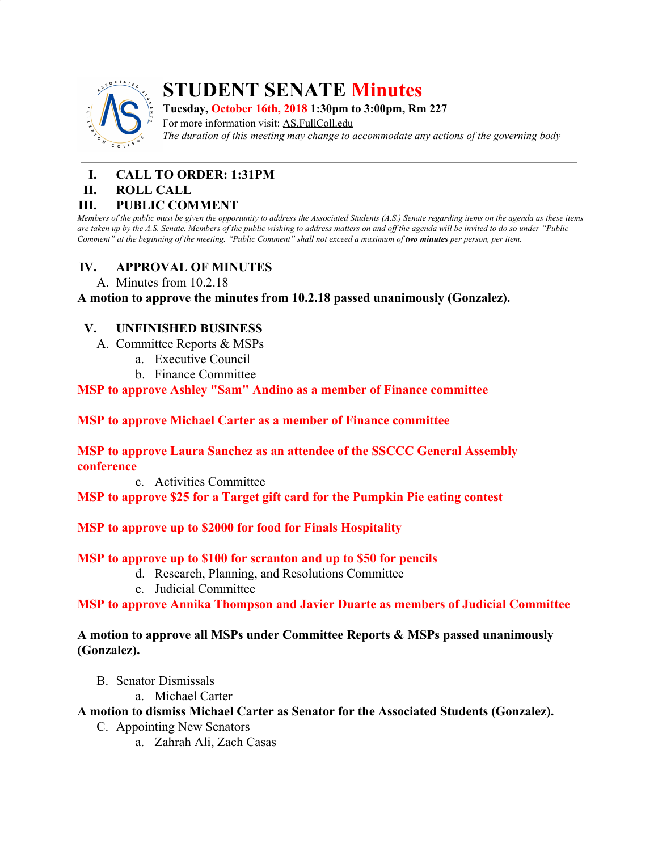

# **STUDENT SENATE Minutes**

**Tuesday, October 16th, 2018 1:30pm to 3:00pm, Rm 227**

For more information visit: AS.FullColl.edu *The duration of this meeting may change to accommodate any actions of the governing body*

# **I. CALL TO ORDER: 1:31PM**

#### **II. ROLL CALL**

#### **III. PUBLIC COMMENT**

Members of the public must be given the opportunity to address the Associated Students (A.S.) Senate regarding items on the agenda as these items are taken up by the A.S. Senate. Members of the public wishing to address matters on and off the agenda will be invited to do so under "Public Comment" at the beginning of the meeting. "Public Comment" shall not exceed a maximum of two minutes per person, per item.

### **IV. APPROVAL OF MINUTES**

A. Minutes from 10.2.18

**A motion to approve the minutes from 10.2.18 passed unanimously (Gonzalez).**

### **V. UNFINISHED BUSINESS**

- A. Committee Reports & MSPs
	- a. Executive Council
	- b. Finance Committee

#### **MSP to approve Ashley "Sam" Andino as a member of Finance committee**

#### **MSP to approve Michael Carter as a member of Finance committee**

#### **MSP to approve Laura Sanchez as an attendee of the SSCCC General Assembly conference**

c. Activities Committee

**MSP to approve \$25 for a Target gift card for the Pumpkin Pie eating contest**

#### **MSP to approve up to \$2000 for food for Finals Hospitality**

#### **MSP to approve up to \$100 for scranton and up to \$50 for pencils**

- d. Research, Planning, and Resolutions Committee
- e. Judicial Committee

**MSP to approve Annika Thompson and Javier Duarte as members of Judicial Committee**

#### **A motion to approve all MSPs under Committee Reports & MSPs passed unanimously (Gonzalez).**

- B. Senator Dismissals
	- a. Michael Carter

#### **A motion to dismiss Michael Carter as Senator for the Associated Students (Gonzalez).**

- C. Appointing New Senators
	- a. Zahrah Ali, Zach Casas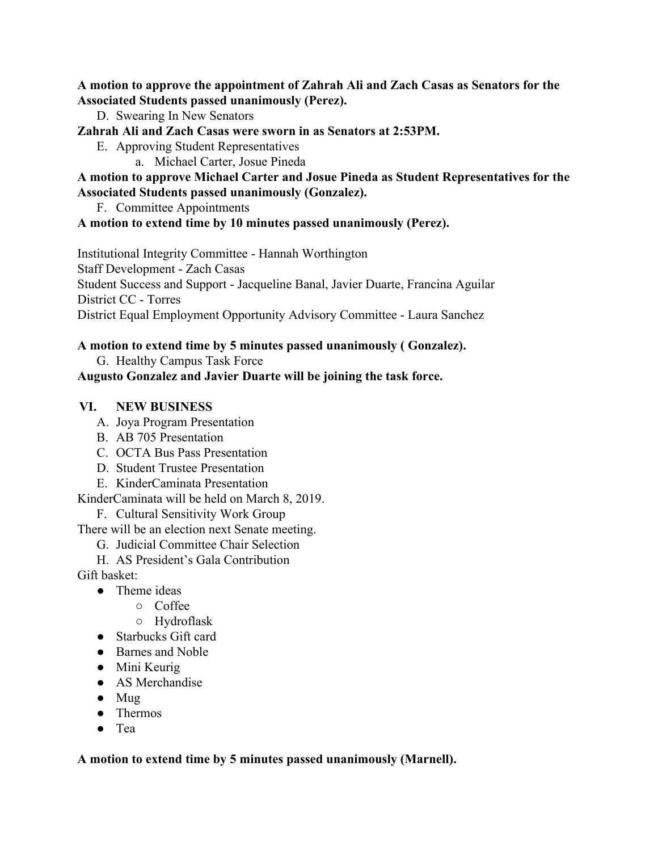**A motion to approve the appointment of Zahrah Ali and Zach Casas as Senators for the Associated Students passed unanimously (Perez).**

D. Swearing In New Senators

**Zahrah Ali and Zach Casas were sworn in as Senators at 2:53PM.**

- E. Approving Student Representatives
	- a. Michael Carter, Josue Pineda

**A motion to approve Michael Carter and Josue Pineda as Student Representatives for the Associated Students passed unanimously (Gonzalez).**

F. Committee Appointments

#### **A motion to extend time by 10 minutes passed unanimously (Perez).**

Institutional Integrity Committee - Hannah Worthington Staff Development - Zach Casas Student Success and Support - Jacqueline Banal, Javier Duarte, Francina Aguilar District CC - Torres District Equal Employment Opportunity Advisory Committee - Laura Sanchez

#### **A motion to extend time by 5 minutes passed unanimously ( Gonzalez).**

G. Healthy Campus Task Force

#### **Augusto Gonzalez and Javier Duarte will be joining the task force.**

#### **VI. NEW BUSINESS**

- A. Joya Program Presentation
- B. AB 705 Presentation
- C. OCTA Bus Pass Presentation
- D. Student Trustee Presentation
- E. KinderCaminata Presentation

KinderCaminata will be held on March 8, 2019.

F. Cultural Sensitivity Work Group

There will be an election next Senate meeting.

- G. Judicial Committee Chair Selection
- H. AS President's Gala Contribution

Gift basket:

- Theme ideas
	- Coffee
	- Hydroflask
- Starbucks Gift card
- Barnes and Noble
- Mini Keurig
- AS Merchandise
- Mug
- Thermos
- Tea

#### **A motion to extend time by 5 minutes passed unanimously (Marnell).**